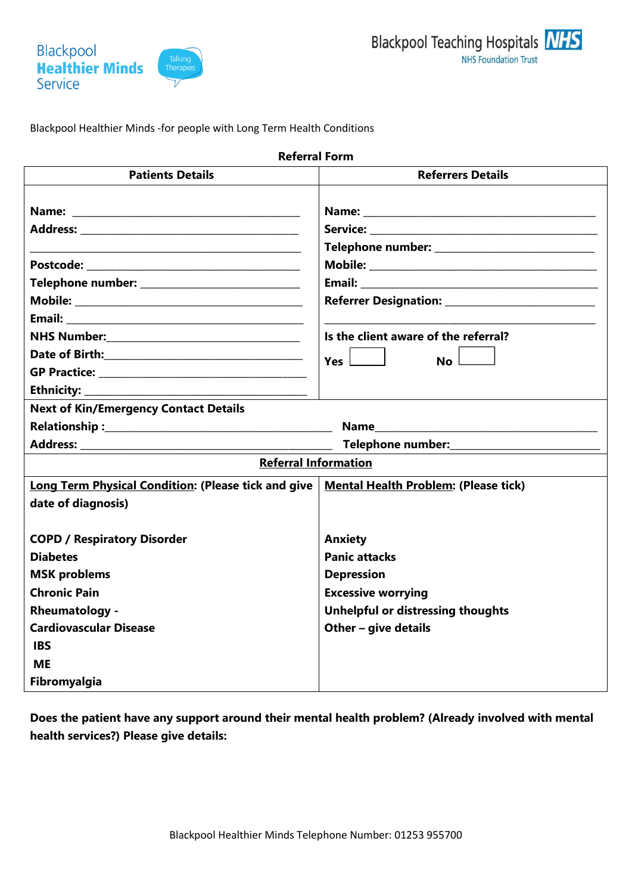

Blackpool Healthier Minds -for people with Long Term Health Conditions

| <b>Referral Form</b>                                                                                    |                                                                                                                 |  |
|---------------------------------------------------------------------------------------------------------|-----------------------------------------------------------------------------------------------------------------|--|
| <b>Patients Details</b>                                                                                 | <b>Referrers Details</b>                                                                                        |  |
| the control of the control of the control of the control of the control of the control of               |                                                                                                                 |  |
|                                                                                                         |                                                                                                                 |  |
| Telephone number: ______________________________                                                        | Email: 2008. 2008. 2010. 2010. 2010. 2010. 2010. 2010. 2010. 2010. 2010. 2010. 2010. 2010. 2010. 2010. 2010. 20 |  |
|                                                                                                         |                                                                                                                 |  |
|                                                                                                         |                                                                                                                 |  |
|                                                                                                         | Is the client aware of the referral?                                                                            |  |
|                                                                                                         | Yes $\Box$<br>$No$ $\Box$                                                                                       |  |
|                                                                                                         |                                                                                                                 |  |
| Ethnicity:<br>the control of the control of the control of the control of the control of the control of |                                                                                                                 |  |
| <b>Next of Kin/Emergency Contact Details</b>                                                            |                                                                                                                 |  |
|                                                                                                         |                                                                                                                 |  |
|                                                                                                         | Telephone number: Telephone number:                                                                             |  |
| <b>Referral Information</b>                                                                             |                                                                                                                 |  |
| <b>Long Term Physical Condition: (Please tick and give</b>                                              | <b>Mental Health Problem: (Please tick)</b>                                                                     |  |
| date of diagnosis)                                                                                      |                                                                                                                 |  |
|                                                                                                         | <b>Anxiety</b>                                                                                                  |  |
| <b>COPD / Respiratory Disorder</b><br><b>Diabetes</b>                                                   | <b>Panic attacks</b>                                                                                            |  |
| <b>MSK problems</b>                                                                                     | <b>Depression</b>                                                                                               |  |
| <b>Chronic Pain</b>                                                                                     | <b>Excessive worrying</b>                                                                                       |  |
| <b>Rheumatology -</b>                                                                                   | <b>Unhelpful or distressing thoughts</b>                                                                        |  |
| <b>Cardiovascular Disease</b>                                                                           | Other $-$ give details                                                                                          |  |
| <b>IBS</b>                                                                                              |                                                                                                                 |  |
| <b>ME</b>                                                                                               |                                                                                                                 |  |
| Fibromyalgia                                                                                            |                                                                                                                 |  |
|                                                                                                         |                                                                                                                 |  |

**Does the patient have any support around their mental health problem? (Already involved with mental health services?) Please give details:**